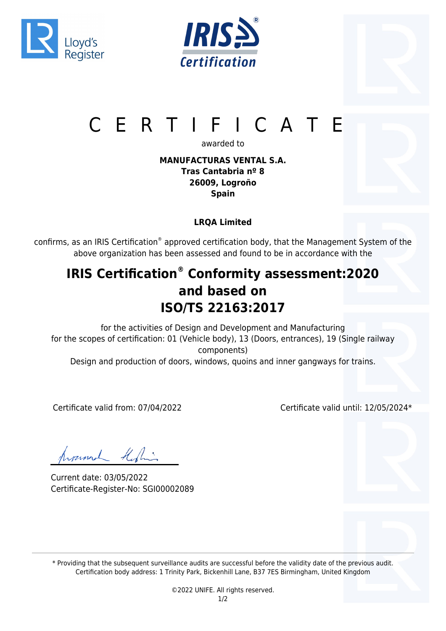





# CERTIFICATE

awarded to

### **MANUFACTURAS VENTAL S.A. Tras Cantabria nº 8 26009, Logroño Spain**

## **LRQA Limited**

confirms, as an IRIS Certification® approved certification body, that the Management System of the above organization has been assessed and found to be in accordance with the

## **IRIS Certification® Conformity assessment:2020 and based on ISO/TS 22163:2017**

for the activities of Design and Development and Manufacturing for the scopes of certification: 01 (Vehicle body), 13 (Doors, entrances), 19 (Single railway components) Design and production of doors, windows, quoins and inner gangways for trains.

Certificate valid from: 07/04/2022 Certificate valid until: 12/05/2024\*

hyunnal Kiling

Current date: 03/05/2022 Certificate-Register-No: SGI00002089

\* Providing that the subsequent surveillance audits are successful before the validity date of the previous audit. Certification body address: 1 Trinity Park, Bickenhill Lane, B37 7ES Birmingham, United Kingdom